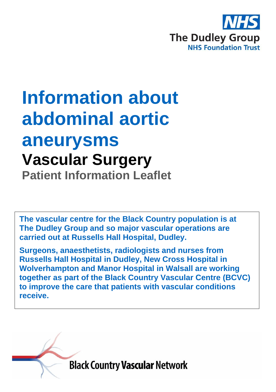

# **Information about abdominal aortic aneurysms Vascular Surgery Patient Information Leaflet**

**The vascular centre for the Black Country population is at The Dudley Group and so major vascular operations are carried out at Russells Hall Hospital, Dudley.**

**Surgeons, anaesthetists, radiologists and nurses from Russells Hall Hospital in Dudley, New Cross Hospital in Wolverhampton and Manor Hospital in Walsall are working together as part of the Black Country Vascular Centre (BCVC) to improve the care that patients with vascular conditions receive.**

**Black Country Vascular Network**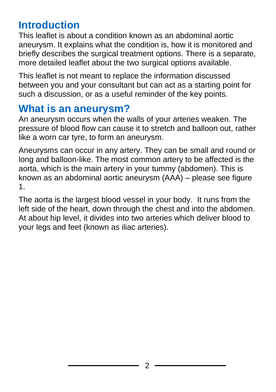### **Introduction**

This leaflet is about a condition known as an abdominal aortic aneurysm. It explains what the condition is, how it is monitored and briefly describes the surgical treatment options. There is a separate, more detailed leaflet about the two surgical options available.

This leaflet is not meant to replace the information discussed between you and your consultant but can act as a starting point for such a discussion, or as a useful reminder of the key points.

### **What is an aneurysm?**

An aneurysm occurs when the walls of your arteries weaken. The pressure of blood flow can cause it to stretch and balloon out, rather like a worn car tyre, to form an aneurysm.

Aneurysms can occur in any artery. They can be small and round or long and balloon-like. The most common artery to be affected is the aorta, which is the main artery in your tummy (abdomen). This is known as an abdominal aortic aneurysm (AAA) – please see figure 1.

The aorta is the largest blood vessel in your body. It runs from the left side of the heart, down through the chest and into the abdomen. At about hip level, it divides into two arteries which deliver blood to your legs and feet (known as iliac arteries).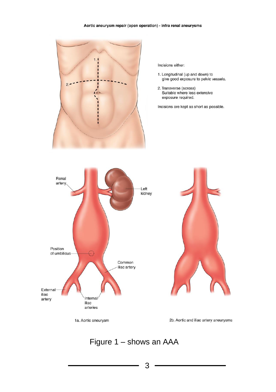#### Aortic aneurysm repair (open operation) - infra renal aneurysms



Incisions either:

- 1. Longitudinal (up and down) to give good exposure to pelvic vessels.
- 2. Transverse (across) Suitable where less extensive exposure required.

Incisions are kept as short as possible.



1a. Aortic aneurysm

2b. Aortic and iliac artery aneurysms

### Figure 1 – shows an AAA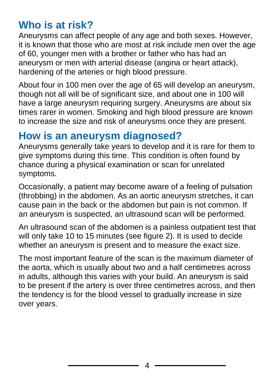### **Who is at risk?**

Aneurysms can affect people of any age and both sexes. However, it is known that those who are most at risk include men over the age of 60, younger men with a brother or father who has had an aneurysm or men with arterial disease (angina or heart attack), hardening of the arteries or high blood pressure.

About four in 100 men over the age of 65 will develop an aneurysm, though not all will be of significant size, and about one in 100 will have a large aneurysm requiring surgery. Aneurysms are about six times rarer in women. Smoking and high blood pressure are known to increase the size and risk of aneurysms once they are present.

### **How is an aneurysm diagnosed?**

Aneurysms generally take years to develop and it is rare for them to give symptoms during this time. This condition is often found by chance during a physical examination or scan for unrelated symptoms.

Occasionally, a patient may become aware of a feeling of pulsation (throbbing) in the abdomen. As an aortic aneurysm stretches, it can cause pain in the back or the abdomen but pain is not common. If an aneurysm is suspected, an ultrasound scan will be performed.

An ultrasound scan of the abdomen is a painless outpatient test that will only take 10 to 15 minutes (see figure 2). It is used to decide whether an aneurysm is present and to measure the exact size.

The most important feature of the scan is the maximum diameter of the aorta, which is usually about two and a half centimetres across in adults, although this varies with your build. An aneurysm is said to be present if the artery is over three centimetres across, and then the tendency is for the blood vessel to gradually increase in size over years.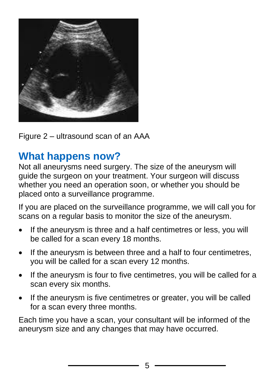

Figure 2 – ultrasound scan of an AAA

### **What happens now?**

Not all aneurysms need surgery. The size of the aneurysm will guide the surgeon on your treatment. Your surgeon will discuss whether you need an operation soon, or whether you should be placed onto a surveillance programme.

If you are placed on the surveillance programme, we will call you for scans on a regular basis to monitor the size of the aneurysm.

- If the aneurysm is three and a half centimetres or less, you will be called for a scan every 18 months.
- If the aneurysm is between three and a half to four centimetres, you will be called for a scan every 12 months.
- If the aneurysm is four to five centimetres, you will be called for a scan every six months.
- If the aneurysm is five centimetres or greater, you will be called for a scan every three months.

Each time you have a scan, your consultant will be informed of the aneurysm size and any changes that may have occurred.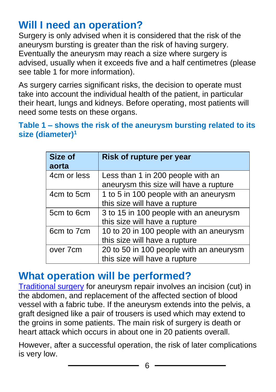### **Will I need an operation?**

Surgery is only advised when it is considered that the risk of the aneurysm bursting is greater than the risk of having surgery. Eventually the aneurysm may reach a size where surgery is advised, usually when it exceeds five and a half centimetres (please see table 1 for more information).

As surgery carries significant risks, the decision to operate must take into account the individual health of the patient, in particular their heart, lungs and kidneys. Before operating, most patients will need some tests on these organs.

#### **Table 1 – shows the risk of the aneurysm bursting related to its size (diameter)<sup>1</sup>**

| <b>Size of</b><br>aorta | Risk of rupture per year                                                    |
|-------------------------|-----------------------------------------------------------------------------|
| 4cm or less             | Less than 1 in 200 people with an<br>aneurysm this size will have a rupture |
| 4cm to 5cm              | 1 to 5 in 100 people with an aneurysm<br>this size will have a rupture      |
| 5cm to 6cm              | 3 to 15 in 100 people with an aneurysm<br>this size will have a rupture     |
| 6cm to 7cm              | 10 to 20 in 100 people with an aneurysm<br>this size will have a rupture    |
| over 7cm                | 20 to 50 in 100 people with an aneurysm<br>this size will have a rupture    |

### **What operation will be performed?**

[Traditional surgery](https://www.circulationfoundation.org.uk/help-advice/abdominal-aortic-aneurysm/open-aaa-repair-operation) for aneurysm repair involves an incision (cut) in the abdomen, and replacement of the affected section of blood vessel with a fabric tube. If the aneurysm extends into the pelvis, a graft designed like a pair of trousers is used which may extend to the groins in some patients. The main risk of surgery is death or heart attack which occurs in about one in 20 patients overall.

However, after a successful operation, the risk of later complications is very low.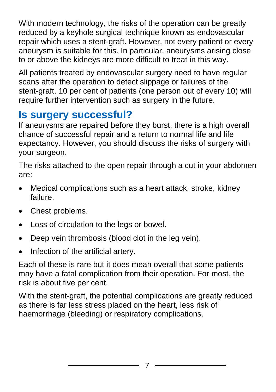With modern technology, the risks of the operation can be greatly reduced by a keyhole surgical technique known as endovascular repair which uses a stent-graft. However, not every patient or every aneurysm is suitable for this. In particular, aneurysms arising close to or above the kidneys are more difficult to treat in this way.

All patients treated by endovascular surgery need to have regular scans after the operation to detect slippage or failures of the stent-graft. 10 per cent of patients (one person out of every 10) will require further intervention such as surgery in the future.

### **Is surgery successful?**

If aneurysms are repaired before they burst, there is a high overall chance of successful repair and a return to normal life and life expectancy. However, you should discuss the risks of surgery with your surgeon.

The risks attached to the open repair through a cut in your abdomen are:

- Medical complications such as a heart attack, stroke, kidney failure.
- Chest problems.
- Loss of circulation to the legs or bowel.
- Deep vein thrombosis (blood clot in the leg vein).
- Infection of the artificial artery.

Each of these is rare but it does mean overall that some patients may have a fatal complication from their operation. For most, the risk is about five per cent.

With the stent-graft, the potential complications are greatly reduced as there is far less stress placed on the heart, less risk of haemorrhage (bleeding) or respiratory complications.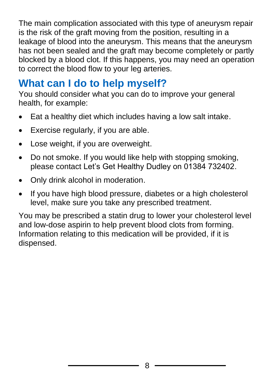The main complication associated with this type of aneurysm repair is the risk of the graft moving from the position, resulting in a leakage of blood into the aneurysm. This means that the aneurysm has not been sealed and the graft may become completely or partly blocked by a blood clot. If this happens, you may need an operation to correct the blood flow to your leg arteries.

### **What can I do to help myself?**

You should consider what you can do to improve your general health, for example:

- Eat a healthy diet which includes having a low salt intake.
- Exercise regularly, if you are able.
- Lose weight, if you are overweight.
- Do not smoke. If you would like help with stopping smoking, please contact Let's Get Healthy Dudley on 01384 732402.
- Only drink alcohol in moderation.
- If you have high blood pressure, diabetes or a high cholesterol level, make sure you take any prescribed treatment.

You may be prescribed a statin drug to lower your cholesterol level and low-dose aspirin to help prevent blood clots from forming. Information relating to this medication will be provided, if it is dispensed.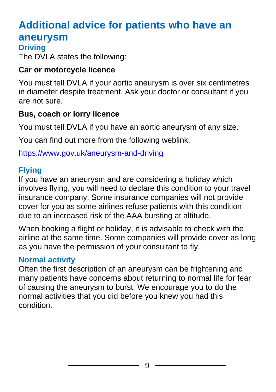### **Additional advice for patients who have an aneurysm**

#### **Driving**

The DVLA states the following:

#### **Car or motorcycle licence**

You must tell DVLA if your aortic aneurysm is over six centimetres in diameter despite treatment. Ask your doctor or consultant if you are not sure.

#### **Bus, coach or lorry licence**

You must tell DVLA if you have an aortic aneurysm of any size.

You can find out more from the following weblink:

<https://www.gov.uk/aneurysm-and-driving>

#### **Flying**

If you have an aneurysm and are considering a holiday which involves flying, you will need to declare this condition to your travel insurance company. Some insurance companies will not provide cover for you as some airlines refuse patients with this condition due to an increased risk of the AAA bursting at altitude.

When booking a flight or holiday, it is advisable to check with the airline at the same time. Some companies will provide cover as long as you have the permission of your consultant to fly.

#### **Normal activity**

Often the first description of an aneurysm can be frightening and many patients have concerns about returning to normal life for fear of causing the aneurysm to burst. We encourage you to do the normal activities that you did before you knew you had this condition.

9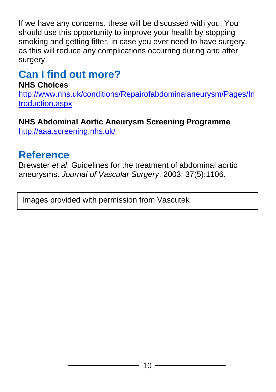If we have any concerns, these will be discussed with you. You should use this opportunity to improve your health by stopping smoking and getting fitter, in case you ever need to have surgery, as this will reduce any complications occurring during and after surgery.

## **Can I find out more?**

### **NHS Choices**

[http://www.nhs.uk/conditions/Repairofabdominalaneurysm/Pages/In](http://www.nhs.uk/conditions/Repairofabdominalaneurysm/Pages/Introduction.aspx) [troduction.aspx](http://www.nhs.uk/conditions/Repairofabdominalaneurysm/Pages/Introduction.aspx)

### **NHS Abdominal Aortic Aneurysm Screening Programme**

<http://aaa.screening.nhs.uk/>

### **Reference**

Brewster *et al*. Guidelines for the treatment of abdominal aortic aneurysms. *Journal of Vascular Surgery*. 2003; 37(5):1106.

Images provided with permission from Vascutek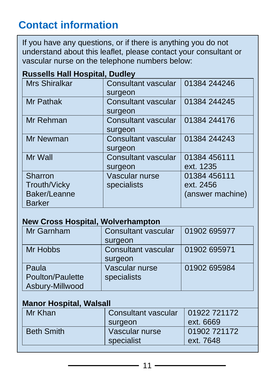### **Contact information**

If you have any questions, or if there is anything you do not understand about this leaflet, please contact your consultant or vascular nurse on the telephone numbers below:

#### **Russells Hall Hospital, Dudley**

| <b>Mrs Shiralkar</b> | Consultant vascular        | 01384 244246     |
|----------------------|----------------------------|------------------|
|                      | surgeon                    |                  |
| <b>Mr Pathak</b>     | <b>Consultant vascular</b> | 01384 244245     |
|                      | surgeon                    |                  |
| Mr Rehman            | <b>Consultant vascular</b> | 01384 244176     |
|                      | surgeon                    |                  |
| Mr Newman            | <b>Consultant vascular</b> | 01384 244243     |
|                      | surgeon                    |                  |
| Mr Wall              | <b>Consultant vascular</b> | 01384 456111     |
|                      | surgeon                    | ext. 1235        |
| <b>Sharron</b>       | Vascular nurse             | 01384 456111     |
| <b>Trouth/Vicky</b>  | specialists                | ext. 2456        |
| Baker/Leanne         |                            | (answer machine) |
| <b>Barker</b>        |                            |                  |

#### **New Cross Hospital, Wolverhampton**

| Mr Garnham       | <b>Consultant vascular</b> | 01902 695977 |  |
|------------------|----------------------------|--------------|--|
|                  | surgeon                    |              |  |
| Mr Hobbs         | <b>Consultant vascular</b> | 01902 695971 |  |
|                  | surgeon                    |              |  |
| Paula            | Vascular nurse             | 01902 695984 |  |
| Poulton/Paulette | specialists                |              |  |
| Asbury-Millwood  |                            |              |  |

#### **Manor Hospital, Walsall**

| Mr Khan           | Consultant vascular<br>surgeon | 01922 721172<br>ext. 6669 |
|-------------------|--------------------------------|---------------------------|
| <b>Beth Smith</b> | Vascular nurse<br>specialist   | 01902 721172<br>ext. 7648 |